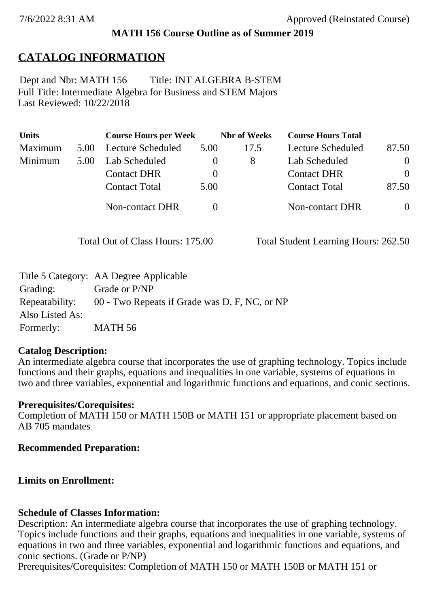### **MATH 156 Course Outline as of Summer 2019**

# **CATALOG INFORMATION**

Full Title: Intermediate Algebra for Business and STEM Majors Last Reviewed: 10/22/2018 Dept and Nbr: MATH 156 Title: INT ALGEBRA B-STEM

| <b>Units</b> |      | <b>Course Hours per Week</b> |          | <b>Nbr</b> of Weeks | <b>Course Hours Total</b> |                |
|--------------|------|------------------------------|----------|---------------------|---------------------------|----------------|
| Maximum      | 5.00 | Lecture Scheduled            | 5.00     | 17.5                | Lecture Scheduled         | 87.50          |
| Minimum      | 5.00 | Lab Scheduled                | $\bf{0}$ | 8                   | Lab Scheduled             | $\overline{0}$ |
|              |      | <b>Contact DHR</b>           | $\theta$ |                     | <b>Contact DHR</b>        | $\Omega$       |
|              |      | <b>Contact Total</b>         | 5.00     |                     | <b>Contact Total</b>      | 87.50          |
|              |      | Non-contact DHR              |          |                     | <b>Non-contact DHR</b>    | $\overline{0}$ |

Total Out of Class Hours: 175.00 Total Student Learning Hours: 262.50

|                 | Title 5 Category: AA Degree Applicable        |
|-----------------|-----------------------------------------------|
| Grading:        | Grade or P/NP                                 |
| Repeatability:  | 00 - Two Repeats if Grade was D, F, NC, or NP |
| Also Listed As: |                                               |
| Formerly:       | MATH 56                                       |

### **Catalog Description:**

An intermediate algebra course that incorporates the use of graphing technology. Topics include functions and their graphs, equations and inequalities in one variable, systems of equations in two and three variables, exponential and logarithmic functions and equations, and conic sections.

#### **Prerequisites/Corequisites:**

Completion of MATH 150 or MATH 150B or MATH 151 or appropriate placement based on AB 705 mandates

### **Recommended Preparation:**

### **Limits on Enrollment:**

### **Schedule of Classes Information:**

Description: An intermediate algebra course that incorporates the use of graphing technology. Topics include functions and their graphs, equations and inequalities in one variable, systems of equations in two and three variables, exponential and logarithmic functions and equations, and conic sections. (Grade or P/NP)

Prerequisites/Corequisites: Completion of MATH 150 or MATH 150B or MATH 151 or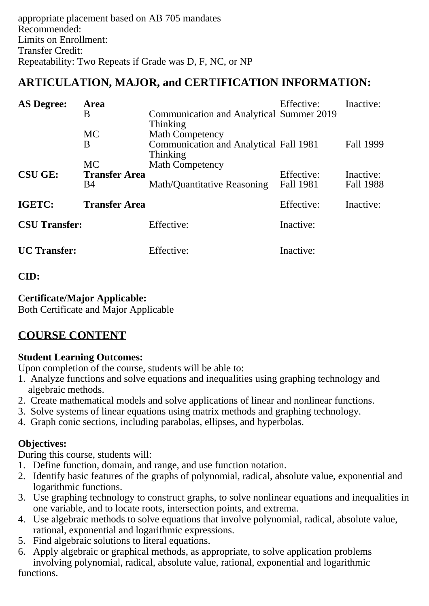# **ARTICULATION, MAJOR, and CERTIFICATION INFORMATION:**

| <b>AS Degree:</b>              | <b>Area</b>          |                                          | Effective: | Inactive: |
|--------------------------------|----------------------|------------------------------------------|------------|-----------|
|                                | Β                    | Communication and Analytical Summer 2019 |            |           |
|                                |                      | <b>Thinking</b>                          |            |           |
|                                | <b>MC</b>            | <b>Math Competency</b>                   |            |           |
|                                | B                    | Communication and Analytical Fall 1981   |            | Fall 1999 |
|                                |                      | Thinking                                 |            |           |
|                                | <b>MC</b>            | <b>Math Competency</b>                   |            |           |
| <b>CSU GE:</b>                 | <b>Transfer Area</b> |                                          | Effective: | Inactive: |
|                                | <b>B</b> 4           | Math/Quantitative Reasoning              | Fall 1981  | Fall 1988 |
| IGETC:<br><b>Transfer Area</b> |                      |                                          | Effective: | Inactive: |
| <b>CSU Transfer:</b>           |                      | Effective:                               | Inactive:  |           |
| <b>UC</b> Transfer:            |                      | Effective:                               | Inactive:  |           |

### **CID:**

### **Certificate/Major Applicable:**

[Both Certificate and Major Applicable](SR_ClassCheck.aspx?CourseKey=MATH156)

# **COURSE CONTENT**

## **Student Learning Outcomes:**

Upon completion of the course, students will be able to:

- 1. Analyze functions and solve equations and inequalities using graphing technology and algebraic methods.
- 2. Create mathematical models and solve applications of linear and nonlinear functions.
- 3. Solve systems of linear equations using matrix methods and graphing technology.
- 4. Graph conic sections, including parabolas, ellipses, and hyperbolas.

## **Objectives:**

During this course, students will:

- 1. Define function, domain, and range, and use function notation.
- 2. Identify basic features of the graphs of polynomial, radical, absolute value, exponential and logarithmic functions.
- 3. Use graphing technology to construct graphs, to solve nonlinear equations and inequalities in one variable, and to locate roots, intersection points, and extrema.
- 4. Use algebraic methods to solve equations that involve polynomial, radical, absolute value, rational, exponential and logarithmic expressions.
- 5. Find algebraic solutions to literal equations.
- 6. Apply algebraic or graphical methods, as appropriate, to solve application problems involving polynomial, radical, absolute value, rational, exponential and logarithmic functions.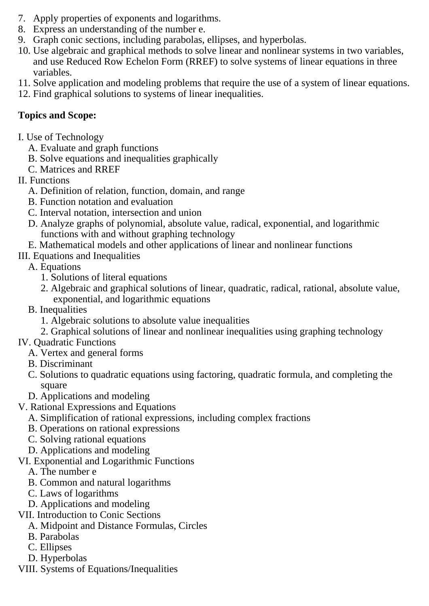- 7. Apply properties of exponents and logarithms.
- 8. Express an understanding of the number e.
- 9. Graph conic sections, including parabolas, ellipses, and hyperbolas.
- 10. Use algebraic and graphical methods to solve linear and nonlinear systems in two variables, and use Reduced Row Echelon Form (RREF) to solve systems of linear equations in three variables.
- 11. Solve application and modeling problems that require the use of a system of linear equations.
- 12. Find graphical solutions to systems of linear inequalities.

## **Topics and Scope:**

- I. Use of Technology
	- A. Evaluate and graph functions
	- B. Solve equations and inequalities graphically
	- C. Matrices and RREF
- II. Functions
	- A. Definition of relation, function, domain, and range
	- B. Function notation and evaluation
	- C. Interval notation, intersection and union
	- D. Analyze graphs of polynomial, absolute value, radical, exponential, and logarithmic functions with and without graphing technology
	- E. Mathematical models and other applications of linear and nonlinear functions
- III. Equations and Inequalities
	- A. Equations
		- 1. Solutions of literal equations
		- 2. Algebraic and graphical solutions of linear, quadratic, radical, rational, absolute value, exponential, and logarithmic equations
	- B. Inequalities
		- 1. Algebraic solutions to absolute value inequalities
		- 2. Graphical solutions of linear and nonlinear inequalities using graphing technology

## IV. Quadratic Functions

- A. Vertex and general forms
- B. Discriminant
- C. Solutions to quadratic equations using factoring, quadratic formula, and completing the square
- D. Applications and modeling
- V. Rational Expressions and Equations
	- A. Simplification of rational expressions, including complex fractions
	- B. Operations on rational expressions
	- C. Solving rational equations
	- D. Applications and modeling
- VI. Exponential and Logarithmic Functions
	- A. The number e
	- B. Common and natural logarithms
	- C. Laws of logarithms
	- D. Applications and modeling
- VII. Introduction to Conic Sections
	- A. Midpoint and Distance Formulas, Circles
	- B. Parabolas
	- C. Ellipses
	- D. Hyperbolas
- VIII. Systems of Equations/Inequalities